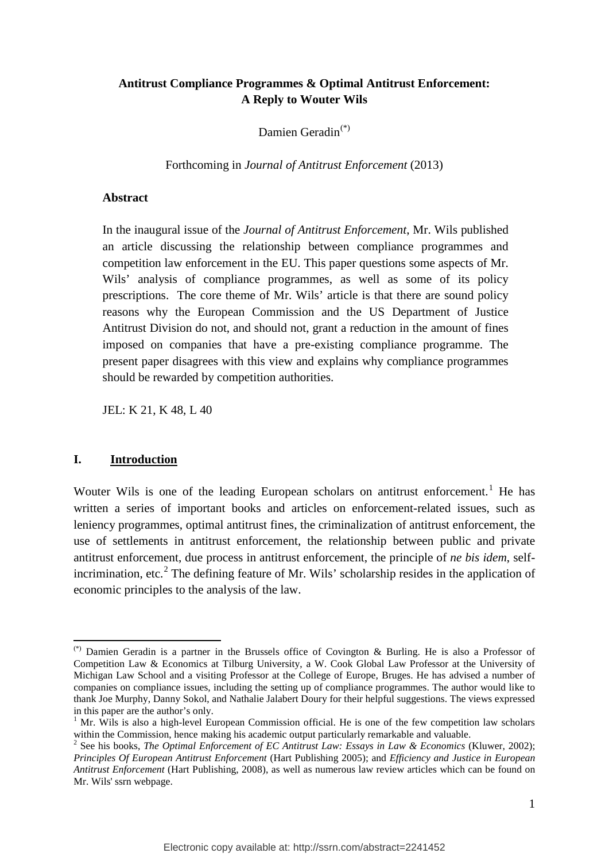# **Antitrust Compliance Programmes & Optimal Antitrust Enforcement: A Reply to Wouter Wils**

Damien Geradin[\(\\*\)](#page-0-0)

Forthcoming in *Journal of Antitrust Enforcement* (2013)

#### **Abstract**

In the inaugural issue of the *Journal of Antitrust Enforcement*, Mr. Wils published an article discussing the relationship between compliance programmes and competition law enforcement in the EU. This paper questions some aspects of Mr. Wils' analysis of compliance programmes, as well as some of its policy prescriptions. The core theme of Mr. Wils' article is that there are sound policy reasons why the European Commission and the US Department of Justice Antitrust Division do not, and should not, grant a reduction in the amount of fines imposed on companies that have a pre-existing compliance programme. The present paper disagrees with this view and explains why compliance programmes should be rewarded by competition authorities.

JEL: K 21, K 48, L 40

#### **I. Introduction**

<span id="page-0-3"></span>Wouter Wils is one of the leading European scholars on antitrust enforcement.<sup>[1](#page-0-1)</sup> He has written a series of important books and articles on enforcement-related issues, such as leniency programmes, optimal antitrust fines, the criminalization of antitrust enforcement, the use of settlements in antitrust enforcement, the relationship between public and private antitrust enforcement, due process in antitrust enforcement, the principle of *ne bis idem*, self-incrimination, etc.<sup>[2](#page-0-2)</sup> The defining feature of Mr. Wils' scholarship resides in the application of economic principles to the analysis of the law.

<span id="page-0-0"></span>(\*) Damien Geradin is a partner in the Brussels office of Covington & Burling. He is also a Professor of Competition Law & Economics at Tilburg University, a W. Cook Global Law Professor at the University of Michigan Law School and a visiting Professor at the College of Europe, Bruges. He has advised a number of companies on compliance issues, including the setting up of compliance programmes. The author would like to thank Joe Murphy, Danny Sokol, and Nathalie Jalabert Doury for their helpful suggestions. The views expressed in this paper are the author's only.

<span id="page-0-1"></span> $1$  Mr. Wils is also a high-level European Commission official. He is one of the few competition law scholars within the Commission, hence making his academic output particularly remarkable and valuable.

<span id="page-0-2"></span><sup>2</sup> See his books, *The Optimal Enforcement of EC Antitrust Law: Essays in Law & Economics* (Kluwer, 2002); *Principles Of European Antitrust Enforcement* (Hart Publishing 2005); and *Efficiency and Justice in European Antitrust Enforcement* (Hart Publishing, 2008), as well as numerous law review articles which can be found on Mr. Wils' ssrn webpage.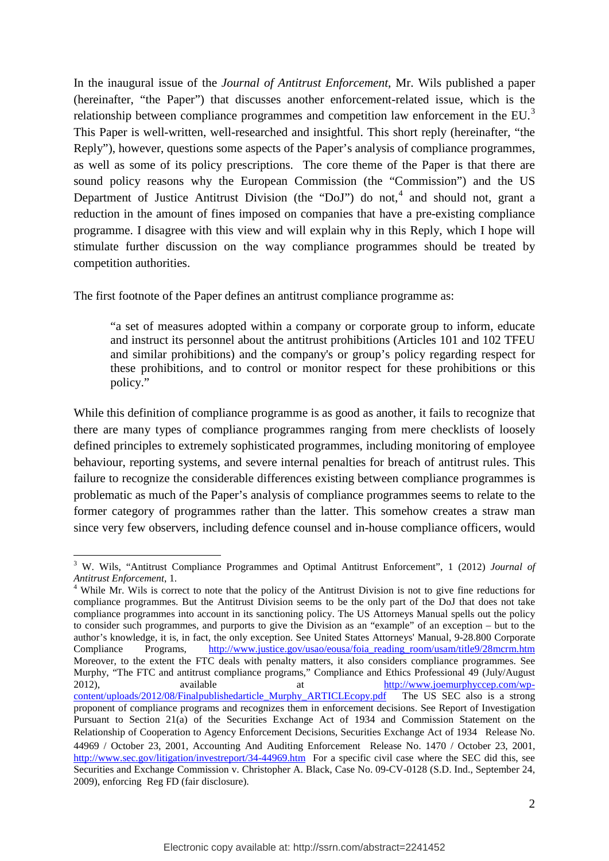In the inaugural issue of the *Journal of Antitrust Enforcement*, Mr. Wils published a paper (hereinafter, "the Paper") that discusses another enforcement-related issue, which is the relationship between compliance programmes and competition law enforcement in the EU.<sup>[3](#page-0-3)</sup> This Paper is well-written, well-researched and insightful. This short reply (hereinafter, "the Reply"), however, questions some aspects of the Paper's analysis of compliance programmes, as well as some of its policy prescriptions. The core theme of the Paper is that there are sound policy reasons why the European Commission (the "Commission") and the US Department of Justice Antitrust Division (the "DoJ") do not,<sup>[4](#page-1-0)</sup> and should not, grant a reduction in the amount of fines imposed on companies that have a pre-existing compliance programme. I disagree with this view and will explain why in this Reply, which I hope will stimulate further discussion on the way compliance programmes should be treated by competition authorities.

The first footnote of the Paper defines an antitrust compliance programme as:

"a set of measures adopted within a company or corporate group to inform, educate and instruct its personnel about the antitrust prohibitions (Articles 101 and 102 TFEU and similar prohibitions) and the company's or group's policy regarding respect for these prohibitions, and to control or monitor respect for these prohibitions or this policy."

While this definition of compliance programme is as good as another, it fails to recognize that there are many types of compliance programmes ranging from mere checklists of loosely defined principles to extremely sophisticated programmes, including monitoring of employee behaviour, reporting systems, and severe internal penalties for breach of antitrust rules. This failure to recognize the considerable differences existing between compliance programmes is problematic as much of the Paper's analysis of compliance programmes seems to relate to the former category of programmes rather than the latter. This somehow creates a straw man since very few observers, including defence counsel and in-house compliance officers, would

<sup>3</sup> W. Wils, "Antitrust Compliance Programmes and Optimal Antitrust Enforcement", 1 (2012) *Journal of* 

<span id="page-1-1"></span><span id="page-1-0"></span><sup>&</sup>lt;sup>4</sup> While Mr. Wils is correct to note that the policy of the Antitrust Division is not to give fine reductions for compliance programmes. But the Antitrust Division seems to be the only part of the DoJ that does not take compliance programmes into account in its sanctioning policy. The US Attorneys Manual spells out the policy to consider such programmes, and purports to give the Division as an "example" of an exception – but to the author's knowledge, it is, in fact, the only exception. See United States Attorneys' Manual, 9-28.800 Corporate<br>Compliance Programs, http://www.justice.gov/usao/eousa/foia reading room/usam/title9/28mcrm.htm Programs, [http://www.justice.gov/usao/eousa/foia\\_reading\\_room/usam/title9/28mcrm.htm](http://www.justice.gov/usao/eousa/foia_reading_room/usam/title9/28mcrm.htm) Moreover, to the extent the FTC deals with penalty matters, it also considers compliance programmes. See Murphy, "The FTC and antitrust compliance programs," Compliance and Ethics Professional 49 (July/August 2012), available at http://www.joemurphyccep.com/wp-<br>content/uploads/2012/08/Finalpublishedarticle Murphy ARTICLEcopy.pdf The US SEC also is a strong content/uploads/2012/08/Finalpublishedarticle\_Murphy\_ARTICLEcopy.pdf proponent of compliance programs and recognizes them in enforcement decisions. See Report of Investigation Pursuant to Section 21(a) of the Securities Exchange Act of 1934 and Commission Statement on the Relationship of Cooperation to Agency Enforcement Decisions, Securities Exchange Act of 1934 Release No. 44969 / October 23, 2001, Accounting And Auditing Enforcement Release No. 1470 / October 23, 2001, <http://www.sec.gov/litigation/investreport/34-44969.htm>For a specific civil case where the SEC did this, see Securities and Exchange Commission v. Christopher A. Black, Case No. 09-CV-0128 (S.D. Ind., September 24, 2009), enforcing Reg FD (fair disclosure).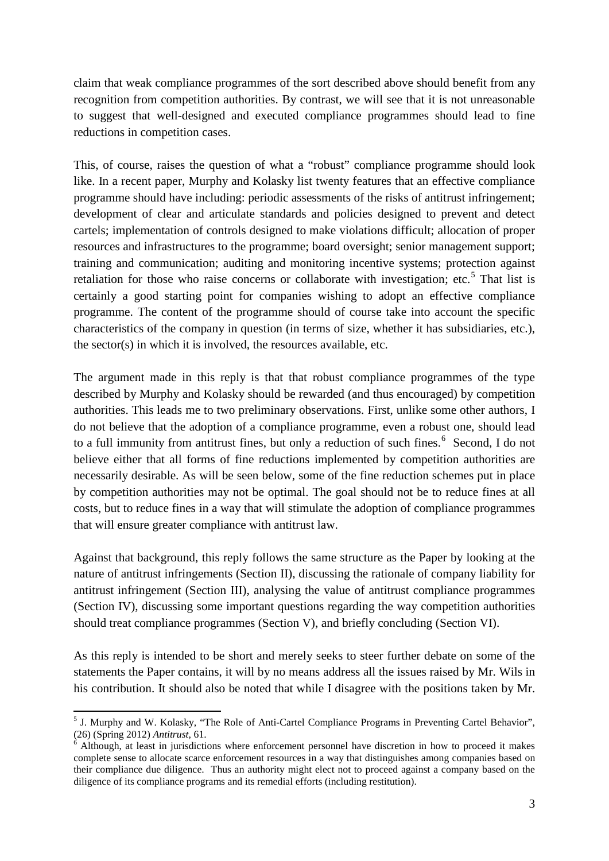claim that weak compliance programmes of the sort described above should benefit from any recognition from competition authorities. By contrast, we will see that it is not unreasonable to suggest that well-designed and executed compliance programmes should lead to fine reductions in competition cases.

This, of course, raises the question of what a "robust" compliance programme should look like. In a recent paper, Murphy and Kolasky list twenty features that an effective compliance programme should have including: periodic assessments of the risks of antitrust infringement; development of clear and articulate standards and policies designed to prevent and detect cartels; implementation of controls designed to make violations difficult; allocation of proper resources and infrastructures to the programme; board oversight; senior management support; training and communication; auditing and monitoring incentive systems; protection against retaliation for those who raise concerns or collaborate with investigation; etc.<sup>[5](#page-1-1)</sup> That list is certainly a good starting point for companies wishing to adopt an effective compliance programme. The content of the programme should of course take into account the specific characteristics of the company in question (in terms of size, whether it has subsidiaries, etc.), the sector(s) in which it is involved, the resources available, etc.

The argument made in this reply is that that robust compliance programmes of the type described by Murphy and Kolasky should be rewarded (and thus encouraged) by competition authorities. This leads me to two preliminary observations. First, unlike some other authors, I do not believe that the adoption of a compliance programme, even a robust one, should lead to a full immunity from antitrust fines, but only a reduction of such fines.<sup>[6](#page-2-0)</sup> Second, I do not believe either that all forms of fine reductions implemented by competition authorities are necessarily desirable. As will be seen below, some of the fine reduction schemes put in place by competition authorities may not be optimal. The goal should not be to reduce fines at all costs, but to reduce fines in a way that will stimulate the adoption of compliance programmes that will ensure greater compliance with antitrust law.

Against that background, this reply follows the same structure as the Paper by looking at the nature of antitrust infringements (Section II), discussing the rationale of company liability for antitrust infringement (Section III), analysing the value of antitrust compliance programmes (Section IV), discussing some important questions regarding the way competition authorities should treat compliance programmes (Section V), and briefly concluding (Section VI).

As this reply is intended to be short and merely seeks to steer further debate on some of the statements the Paper contains, it will by no means address all the issues raised by Mr. Wils in his contribution. It should also be noted that while I disagree with the positions taken by Mr.

<sup>&</sup>lt;sup>5</sup> J. Murphy and W. Kolasky, "The Role of Anti-Cartel Compliance Programs in Preventing Cartel Behavior",  $(26)$  (Spring 2012) Antitrust, 61.

<span id="page-2-1"></span><span id="page-2-0"></span> $6$  Although, at least in jurisdictions where enforcement personnel have discretion in how to proceed it makes complete sense to allocate scarce enforcement resources in a way that distinguishes among companies based on their compliance due diligence. Thus an authority might elect not to proceed against a company based on the diligence of its compliance programs and its remedial efforts (including restitution).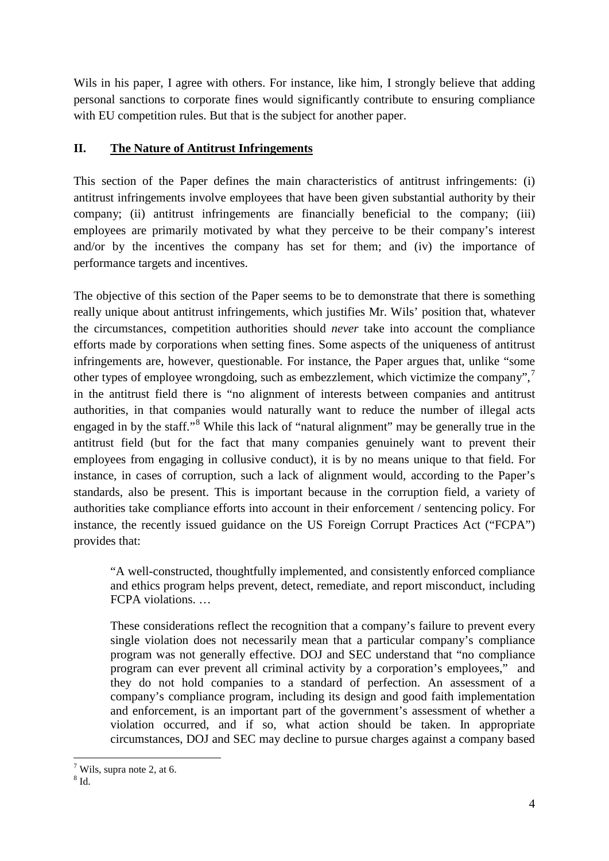Wils in his paper, I agree with others. For instance, like him, I strongly believe that adding personal sanctions to corporate fines would significantly contribute to ensuring compliance with EU competition rules. But that is the subject for another paper.

### **II. The Nature of Antitrust Infringements**

This section of the Paper defines the main characteristics of antitrust infringements: (i) antitrust infringements involve employees that have been given substantial authority by their company; (ii) antitrust infringements are financially beneficial to the company; (iii) employees are primarily motivated by what they perceive to be their company's interest and/or by the incentives the company has set for them; and (iv) the importance of performance targets and incentives.

The objective of this section of the Paper seems to be to demonstrate that there is something really unique about antitrust infringements, which justifies Mr. Wils' position that, whatever the circumstances, competition authorities should *never* take into account the compliance efforts made by corporations when setting fines. Some aspects of the uniqueness of antitrust infringements are, however, questionable. For instance, the Paper argues that, unlike "some other types of employee wrongdoing, such as embezzlement, which victimize the company",[7](#page-2-1) in the antitrust field there is "no alignment of interests between companies and antitrust authorities, in that companies would naturally want to reduce the number of illegal acts engaged in by the staff."<sup>[8](#page-3-0)</sup> While this lack of "natural alignment" may be generally true in the antitrust field (but for the fact that many companies genuinely want to prevent their employees from engaging in collusive conduct), it is by no means unique to that field. For instance, in cases of corruption, such a lack of alignment would, according to the Paper's standards, also be present. This is important because in the corruption field, a variety of authorities take compliance efforts into account in their enforcement / sentencing policy. For instance, the recently issued guidance on the US Foreign Corrupt Practices Act ("FCPA") provides that:

"A well-constructed, thoughtfully implemented, and consistently enforced compliance and ethics program helps prevent, detect, remediate, and report misconduct, including FCPA violations. …

These considerations reflect the recognition that a company's failure to prevent every single violation does not necessarily mean that a particular company's compliance program was not generally effective. DOJ and SEC understand that "no compliance program can ever prevent all criminal activity by a corporation's employees," and they do not hold companies to a standard of perfection. An assessment of a company's compliance program, including its design and good faith implementation and enforcement, is an important part of the government's assessment of whether a violation occurred, and if so, what action should be taken. In appropriate circumstances, DOJ and SEC may decline to pursue charges against a company based

<span id="page-3-1"></span><sup>7</sup> Wils, supra note 2, at 6.

<span id="page-3-0"></span> $8$  Id.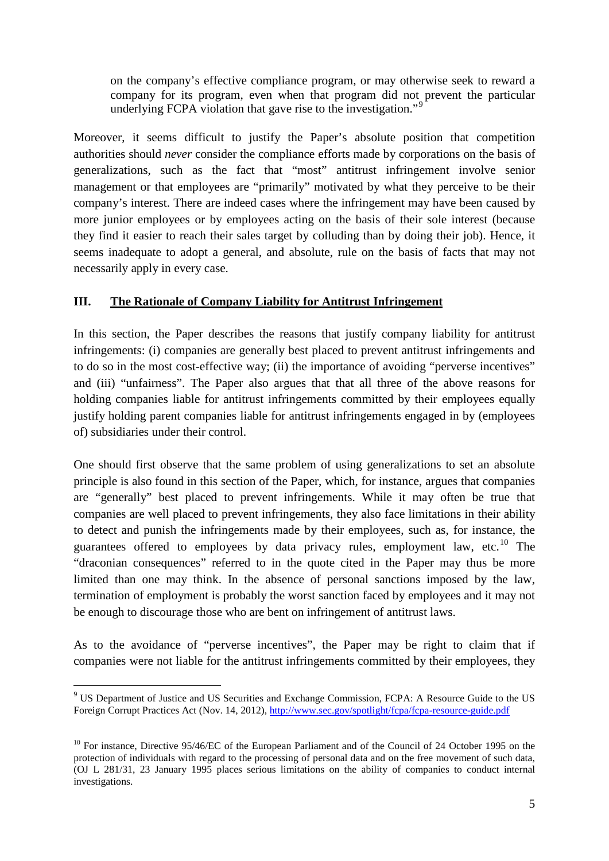on the company's effective compliance program, or may otherwise seek to reward a company for its program, even when that program did not prevent the particular underlying FCPA violation that gave rise to the investigation."[9](#page-3-1)

Moreover, it seems difficult to justify the Paper's absolute position that competition authorities should *never* consider the compliance efforts made by corporations on the basis of generalizations, such as the fact that "most" antitrust infringement involve senior management or that employees are "primarily" motivated by what they perceive to be their company's interest. There are indeed cases where the infringement may have been caused by more junior employees or by employees acting on the basis of their sole interest (because they find it easier to reach their sales target by colluding than by doing their job). Hence, it seems inadequate to adopt a general, and absolute, rule on the basis of facts that may not necessarily apply in every case.

### **III. The Rationale of Company Liability for Antitrust Infringement**

In this section, the Paper describes the reasons that justify company liability for antitrust infringements: (i) companies are generally best placed to prevent antitrust infringements and to do so in the most cost-effective way; (ii) the importance of avoiding "perverse incentives" and (iii) "unfairness". The Paper also argues that that all three of the above reasons for holding companies liable for antitrust infringements committed by their employees equally justify holding parent companies liable for antitrust infringements engaged in by (employees of) subsidiaries under their control.

One should first observe that the same problem of using generalizations to set an absolute principle is also found in this section of the Paper, which, for instance, argues that companies are "generally" best placed to prevent infringements. While it may often be true that companies are well placed to prevent infringements, they also face limitations in their ability to detect and punish the infringements made by their employees, such as, for instance, the guarantees offered to employees by data privacy rules, employment law, etc.<sup>[10](#page-4-0)</sup> The "draconian consequences" referred to in the quote cited in the Paper may thus be more limited than one may think. In the absence of personal sanctions imposed by the law, termination of employment is probably the worst sanction faced by employees and it may not be enough to discourage those who are bent on infringement of antitrust laws.

As to the avoidance of "perverse incentives", the Paper may be right to claim that if companies were not liable for the antitrust infringements committed by their employees, they

 <sup>9</sup> US Department of Justice and US Securities and Exchange Commission, FCPA: A Resource Guide to the US Foreign Corrupt Practices Act (Nov. 14, 2012)[, http://www.sec.gov/spotlight/fcpa/fcpa-resource-guide.pdf](http://www.sec.gov/spotlight/fcpa/fcpa-resource-guide.pdf)

<span id="page-4-1"></span><span id="page-4-0"></span><sup>&</sup>lt;sup>10</sup> For instance, Directive 95/46/EC of the European Parliament and of the Council of 24 October 1995 on the protection of individuals with regard to the processing of personal data and on the free movement of such data, (OJ L 281/31, 23 January 1995 places serious limitations on the ability of companies to conduct internal investigations.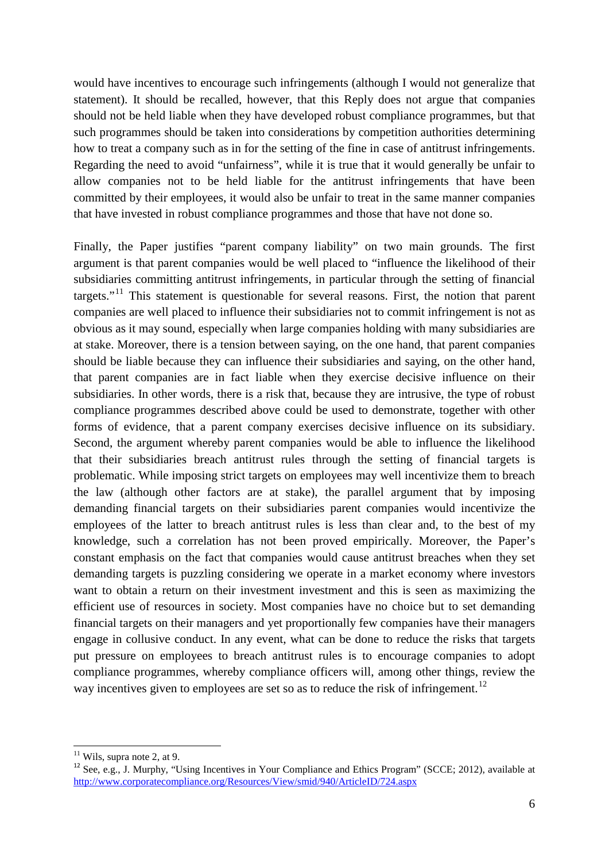would have incentives to encourage such infringements (although I would not generalize that statement). It should be recalled, however, that this Reply does not argue that companies should not be held liable when they have developed robust compliance programmes, but that such programmes should be taken into considerations by competition authorities determining how to treat a company such as in for the setting of the fine in case of antitrust infringements. Regarding the need to avoid "unfairness", while it is true that it would generally be unfair to allow companies not to be held liable for the antitrust infringements that have been committed by their employees, it would also be unfair to treat in the same manner companies that have invested in robust compliance programmes and those that have not done so.

Finally, the Paper justifies "parent company liability" on two main grounds. The first argument is that parent companies would be well placed to "influence the likelihood of their subsidiaries committing antitrust infringements, in particular through the setting of financial targets."<sup>[11](#page-4-1)</sup> This statement is questionable for several reasons. First, the notion that parent companies are well placed to influence their subsidiaries not to commit infringement is not as obvious as it may sound, especially when large companies holding with many subsidiaries are at stake. Moreover, there is a tension between saying, on the one hand, that parent companies should be liable because they can influence their subsidiaries and saying, on the other hand, that parent companies are in fact liable when they exercise decisive influence on their subsidiaries. In other words, there is a risk that, because they are intrusive, the type of robust compliance programmes described above could be used to demonstrate, together with other forms of evidence, that a parent company exercises decisive influence on its subsidiary. Second, the argument whereby parent companies would be able to influence the likelihood that their subsidiaries breach antitrust rules through the setting of financial targets is problematic. While imposing strict targets on employees may well incentivize them to breach the law (although other factors are at stake), the parallel argument that by imposing demanding financial targets on their subsidiaries parent companies would incentivize the employees of the latter to breach antitrust rules is less than clear and, to the best of my knowledge, such a correlation has not been proved empirically. Moreover, the Paper's constant emphasis on the fact that companies would cause antitrust breaches when they set demanding targets is puzzling considering we operate in a market economy where investors want to obtain a return on their investment investment and this is seen as maximizing the efficient use of resources in society. Most companies have no choice but to set demanding financial targets on their managers and yet proportionally few companies have their managers engage in collusive conduct. In any event, what can be done to reduce the risks that targets put pressure on employees to breach antitrust rules is to encourage companies to adopt compliance programmes, whereby compliance officers will, among other things, review the way incentives given to employees are set so as to reduce the risk of infringement.<sup>[12](#page-5-0)</sup>

<span id="page-5-0"></span>

<span id="page-5-1"></span><sup>&</sup>lt;sup>11</sup> Wils, supra note 2, at 9.<br><sup>12</sup> See, e.g., J. Murphy, "Using Incentives in Your Compliance and Ethics Program" (SCCE; 2012), available at <http://www.corporatecompliance.org/Resources/View/smid/940/ArticleID/724.aspx>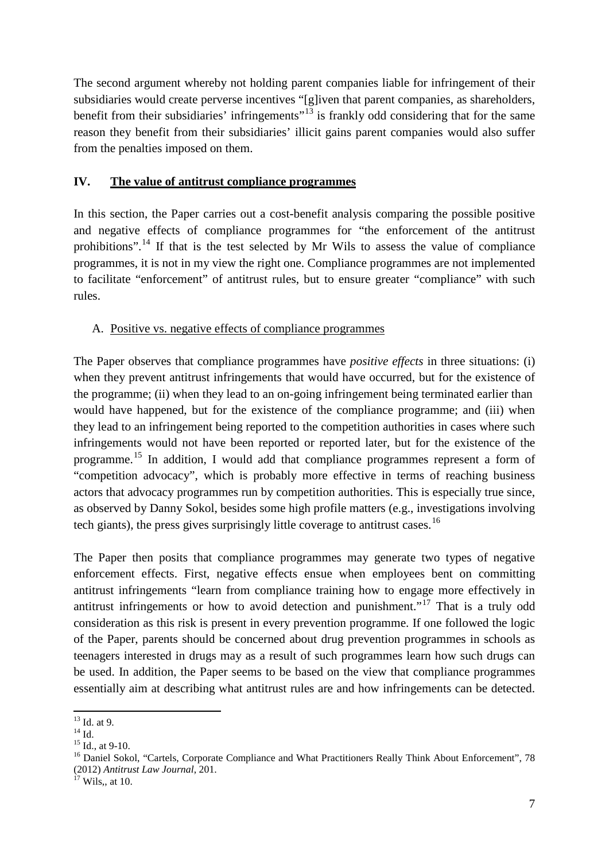The second argument whereby not holding parent companies liable for infringement of their subsidiaries would create perverse incentives "[g]iven that parent companies, as shareholders, benefit from their subsidiaries' infringements"<sup>[13](#page-5-1)</sup> is frankly odd considering that for the same reason they benefit from their subsidiaries' illicit gains parent companies would also suffer from the penalties imposed on them.

#### **IV. The value of antitrust compliance programmes**

In this section, the Paper carries out a cost-benefit analysis comparing the possible positive and negative effects of compliance programmes for "the enforcement of the antitrust prohibitions".<sup>[14](#page-6-0)</sup> If that is the test selected by Mr Wils to assess the value of compliance programmes, it is not in my view the right one. Compliance programmes are not implemented to facilitate "enforcement" of antitrust rules, but to ensure greater "compliance" with such rules.

### A. Positive vs. negative effects of compliance programmes

The Paper observes that compliance programmes have *positive effects* in three situations: (i) when they prevent antitrust infringements that would have occurred, but for the existence of the programme; (ii) when they lead to an on-going infringement being terminated earlier than would have happened, but for the existence of the compliance programme; and (iii) when they lead to an infringement being reported to the competition authorities in cases where such infringements would not have been reported or reported later, but for the existence of the programme.[15](#page-6-1) In addition, I would add that compliance programmes represent a form of "competition advocacy", which is probably more effective in terms of reaching business actors that advocacy programmes run by competition authorities. This is especially true since, as observed by Danny Sokol, besides some high profile matters (e.g., investigations involving tech giants), the press gives surprisingly little coverage to antitrust cases.<sup>[16](#page-6-2)</sup>

The Paper then posits that compliance programmes may generate two types of negative enforcement effects. First, negative effects ensue when employees bent on committing antitrust infringements "learn from compliance training how to engage more effectively in antitrust infringements or how to avoid detection and punishment."<sup>[17](#page-6-3)</sup> That is a truly odd consideration as this risk is present in every prevention programme. If one followed the logic of the Paper, parents should be concerned about drug prevention programmes in schools as teenagers interested in drugs may as a result of such programmes learn how such drugs can be used. In addition, the Paper seems to be based on the view that compliance programmes essentially aim at describing what antitrust rules are and how infringements can be detected.

<span id="page-6-4"></span><span id="page-6-2"></span><span id="page-6-1"></span>

<span id="page-6-0"></span><sup>&</sup>lt;sup>13</sup> Id. at 9.<br><sup>14</sup> Id.<br><sup>15</sup> Id., at 9-10.<br><sup>15</sup> Daniel Sokol, "Cartels, Corporate Compliance and What Practitioners Really Think About Enforcement", 78 (2012) *Antitrust Law Journal*, 201. <sup>17</sup> Wils,, at 10.

<span id="page-6-3"></span>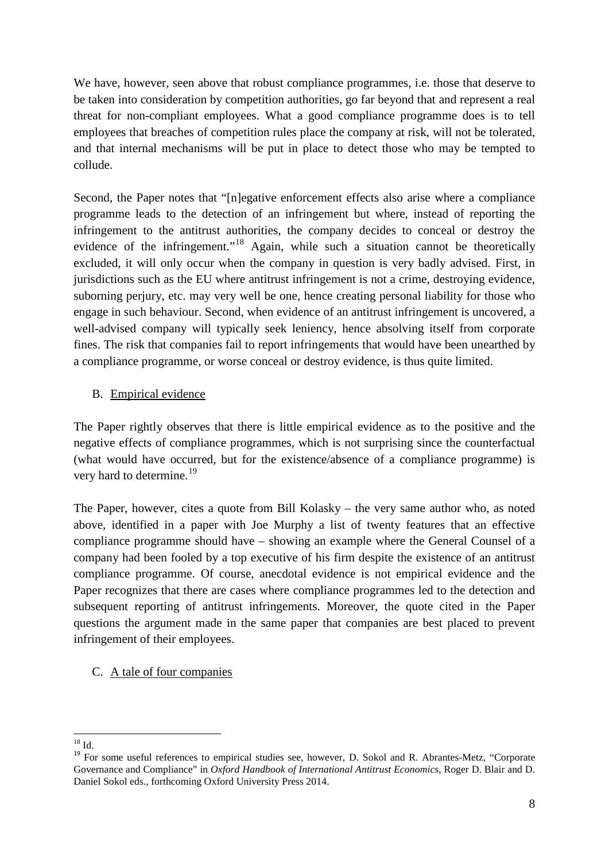We have, however, seen above that robust compliance programmes, i.e. those that deserve to be taken into consideration by competition authorities, go far beyond that and represent a real threat for non-compliant employees. What a good compliance programme does is to tell employees that breaches of competition rules place the company at risk, will not be tolerated, and that internal mechanisms will be put in place to detect those who may be tempted to collude.

Second, the Paper notes that "[n]egative enforcement effects also arise where a compliance programme leads to the detection of an infringement but where, instead of reporting the infringement to the antitrust authorities, the company decides to conceal or destroy the evidence of the infringement."<sup>[18](#page-6-4)</sup> Again, while such a situation cannot be theoretically excluded, it will only occur when the company in question is very badly advised. First, in jurisdictions such as the EU where antitrust infringement is not a crime, destroying evidence, suborning perjury, etc. may very well be one, hence creating personal liability for those who engage in such behaviour. Second, when evidence of an antitrust infringement is uncovered, a well-advised company will typically seek leniency, hence absolving itself from corporate fines. The risk that companies fail to report infringements that would have been unearthed by a compliance programme, or worse conceal or destroy evidence, is thus quite limited.

# B. Empirical evidence

The Paper rightly observes that there is little empirical evidence as to the positive and the negative effects of compliance programmes, which is not surprising since the counterfactual (what would have occurred, but for the existence/absence of a compliance programme) is very hard to determine.<sup>[19](#page-7-0)</sup>

The Paper, however, cites a quote from Bill Kolasky – the very same author who, as noted above, identified in a paper with Joe Murphy a list of twenty features that an effective compliance programme should have – showing an example where the General Counsel of a company had been fooled by a top executive of his firm despite the existence of an antitrust compliance programme. Of course, anecdotal evidence is not empirical evidence and the Paper recognizes that there are cases where compliance programmes led to the detection and subsequent reporting of antitrust infringements. Moreover, the quote cited in the Paper questions the argument made in the same paper that companies are best placed to prevent infringement of their employees.

# C. A tale of four companies

<span id="page-7-1"></span><span id="page-7-0"></span><sup>&</sup>lt;sup>18</sup> Id.<br><sup>19</sup> For some useful references to empirical studies see, however, D. Sokol and R. Abrantes-Metz, "Corporate Governance and Compliance" in *Oxford Handbook of International Antitrust Economics*, Roger D. Blair and D. Daniel Sokol eds., forthcoming Oxford University Press 2014.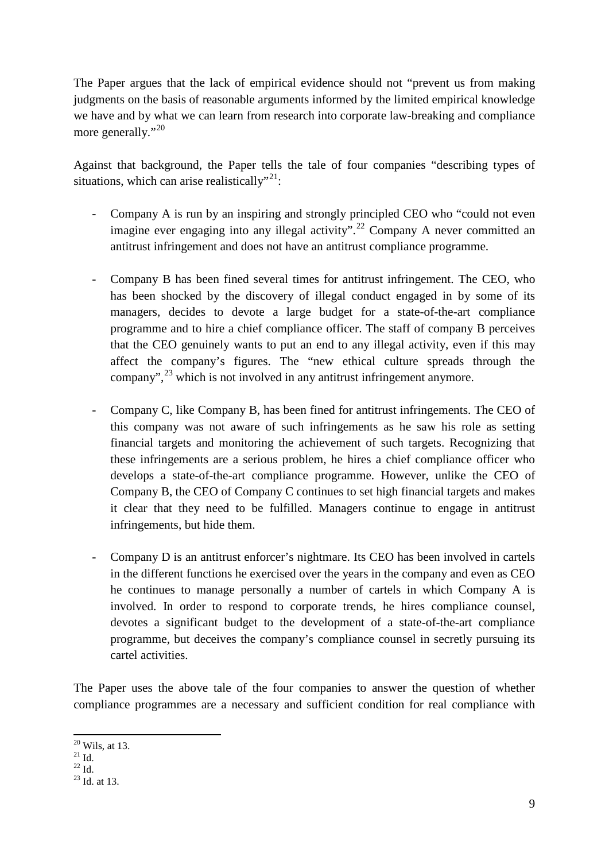The Paper argues that the lack of empirical evidence should not "prevent us from making judgments on the basis of reasonable arguments informed by the limited empirical knowledge we have and by what we can learn from research into corporate law-breaking and compliance more generally."<sup>[20](#page-7-1)</sup>

Against that background, the Paper tells the tale of four companies "describing types of situations, which can arise realistically"<sup>[21](#page-8-0)</sup>:

- Company A is run by an inspiring and strongly principled CEO who "could not even imagine ever engaging into any illegal activity".<sup>[22](#page-8-1)</sup> Company A never committed an antitrust infringement and does not have an antitrust compliance programme.
- Company B has been fined several times for antitrust infringement. The CEO, who has been shocked by the discovery of illegal conduct engaged in by some of its managers, decides to devote a large budget for a state-of-the-art compliance programme and to hire a chief compliance officer. The staff of company B perceives that the CEO genuinely wants to put an end to any illegal activity, even if this may affect the company's figures. The "new ethical culture spreads through the company",[23](#page-8-2) which is not involved in any antitrust infringement anymore.
- Company C, like Company B, has been fined for antitrust infringements. The CEO of this company was not aware of such infringements as he saw his role as setting financial targets and monitoring the achievement of such targets. Recognizing that these infringements are a serious problem, he hires a chief compliance officer who develops a state-of-the-art compliance programme. However, unlike the CEO of Company B, the CEO of Company C continues to set high financial targets and makes it clear that they need to be fulfilled. Managers continue to engage in antitrust infringements, but hide them.
- Company D is an antitrust enforcer's nightmare. Its CEO has been involved in cartels in the different functions he exercised over the years in the company and even as CEO he continues to manage personally a number of cartels in which Company A is involved. In order to respond to corporate trends, he hires compliance counsel, devotes a significant budget to the development of a state-of-the-art compliance programme, but deceives the company's compliance counsel in secretly pursuing its cartel activities.

The Paper uses the above tale of the four companies to answer the question of whether compliance programmes are a necessary and sufficient condition for real compliance with

<sup>&</sup>lt;sup>20</sup> Wils, at 13.<br><sup>21</sup> Id.<br><sup>22</sup> Id. <sup>23</sup> Id. at 13.

<span id="page-8-0"></span>

<span id="page-8-2"></span><span id="page-8-1"></span>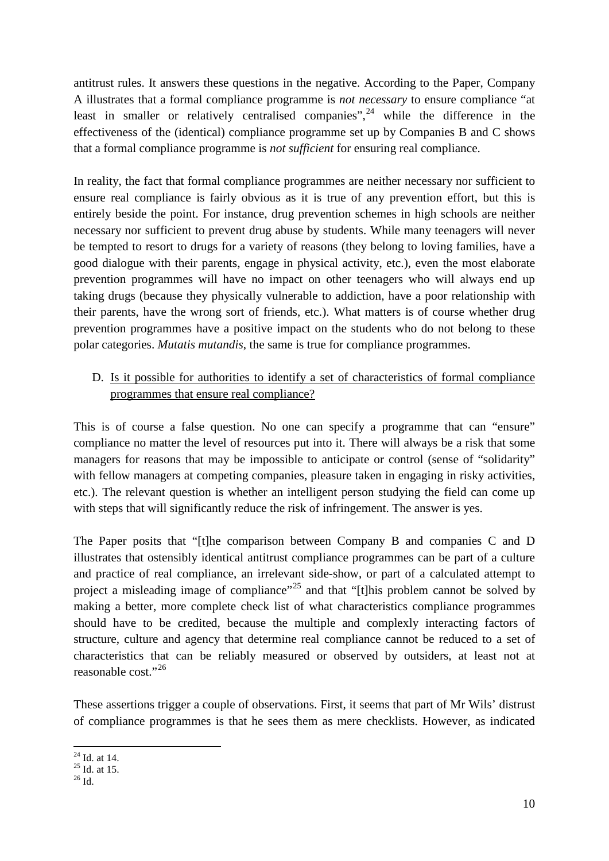antitrust rules. It answers these questions in the negative. According to the Paper, Company A illustrates that a formal compliance programme is *not necessary* to ensure compliance "at least in smaller or relatively centralised companies",  $24$  while the difference in the effectiveness of the (identical) compliance programme set up by Companies B and C shows that a formal compliance programme is *not sufficient* for ensuring real compliance.

In reality, the fact that formal compliance programmes are neither necessary nor sufficient to ensure real compliance is fairly obvious as it is true of any prevention effort, but this is entirely beside the point. For instance, drug prevention schemes in high schools are neither necessary nor sufficient to prevent drug abuse by students. While many teenagers will never be tempted to resort to drugs for a variety of reasons (they belong to loving families, have a good dialogue with their parents, engage in physical activity, etc.), even the most elaborate prevention programmes will have no impact on other teenagers who will always end up taking drugs (because they physically vulnerable to addiction, have a poor relationship with their parents, have the wrong sort of friends, etc.). What matters is of course whether drug prevention programmes have a positive impact on the students who do not belong to these polar categories. *Mutatis mutandis*, the same is true for compliance programmes.

# D. Is it possible for authorities to identify a set of characteristics of formal compliance programmes that ensure real compliance?

This is of course a false question. No one can specify a programme that can "ensure" compliance no matter the level of resources put into it. There will always be a risk that some managers for reasons that may be impossible to anticipate or control (sense of "solidarity" with fellow managers at competing companies, pleasure taken in engaging in risky activities, etc.). The relevant question is whether an intelligent person studying the field can come up with steps that will significantly reduce the risk of infringement. The answer is yes.

The Paper posits that "[t]he comparison between Company B and companies C and D illustrates that ostensibly identical antitrust compliance programmes can be part of a culture and practice of real compliance, an irrelevant side-show, or part of a calculated attempt to project a misleading image of compliance"<sup>[25](#page-9-0)</sup> and that "[t]his problem cannot be solved by making a better, more complete check list of what characteristics compliance programmes should have to be credited, because the multiple and complexly interacting factors of structure, culture and agency that determine real compliance cannot be reduced to a set of characteristics that can be reliably measured or observed by outsiders, at least not at reasonable cost."[26](#page-9-1)

These assertions trigger a couple of observations. First, it seems that part of Mr Wils' distrust of compliance programmes is that he sees them as mere checklists. However, as indicated

<span id="page-9-0"></span><sup>&</sup>lt;sup>24</sup> Id. at 14.<br><sup>25</sup> Id. at 15.<br><sup>26</sup> Id.

<span id="page-9-1"></span>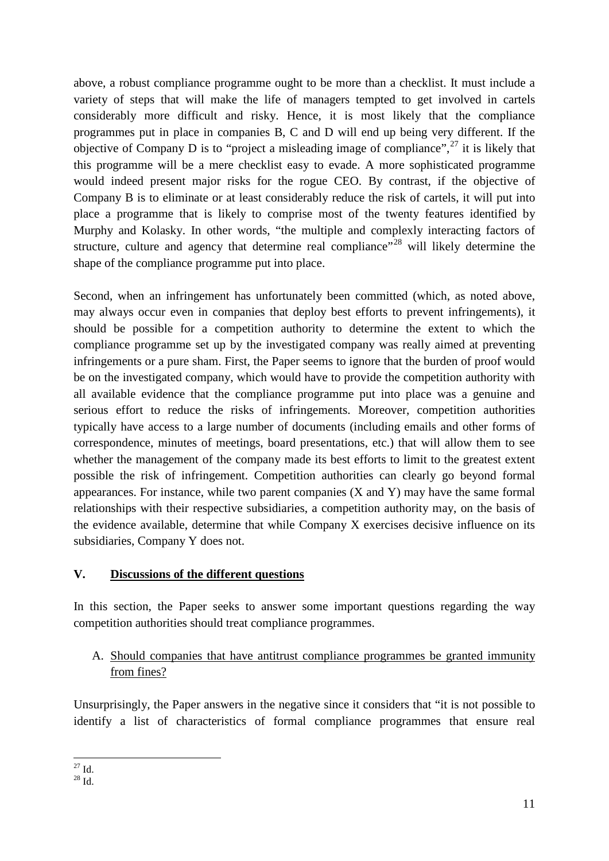above, a robust compliance programme ought to be more than a checklist. It must include a variety of steps that will make the life of managers tempted to get involved in cartels considerably more difficult and risky. Hence, it is most likely that the compliance programmes put in place in companies B, C and D will end up being very different. If the objective of Company D is to "project a misleading image of compliance",  $27$  it is likely that this programme will be a mere checklist easy to evade. A more sophisticated programme would indeed present major risks for the rogue CEO. By contrast, if the objective of Company B is to eliminate or at least considerably reduce the risk of cartels, it will put into place a programme that is likely to comprise most of the twenty features identified by Murphy and Kolasky. In other words, "the multiple and complexly interacting factors of structure, culture and agency that determine real compliance<sup> $28$ </sup> will likely determine the shape of the compliance programme put into place.

Second, when an infringement has unfortunately been committed (which, as noted above, may always occur even in companies that deploy best efforts to prevent infringements), it should be possible for a competition authority to determine the extent to which the compliance programme set up by the investigated company was really aimed at preventing infringements or a pure sham. First, the Paper seems to ignore that the burden of proof would be on the investigated company, which would have to provide the competition authority with all available evidence that the compliance programme put into place was a genuine and serious effort to reduce the risks of infringements. Moreover, competition authorities typically have access to a large number of documents (including emails and other forms of correspondence, minutes of meetings, board presentations, etc.) that will allow them to see whether the management of the company made its best efforts to limit to the greatest extent possible the risk of infringement. Competition authorities can clearly go beyond formal appearances. For instance, while two parent companies (X and Y) may have the same formal relationships with their respective subsidiaries, a competition authority may, on the basis of the evidence available, determine that while Company X exercises decisive influence on its subsidiaries, Company Y does not.

# **V. Discussions of the different questions**

In this section, the Paper seeks to answer some important questions regarding the way competition authorities should treat compliance programmes.

# A. Should companies that have antitrust compliance programmes be granted immunity from fines?

Unsurprisingly, the Paper answers in the negative since it considers that "it is not possible to identify a list of characteristics of formal compliance programmes that ensure real

<span id="page-10-1"></span><span id="page-10-0"></span> $\begin{array}{c} 27 \\ 28 \\ \end{array}$  Id.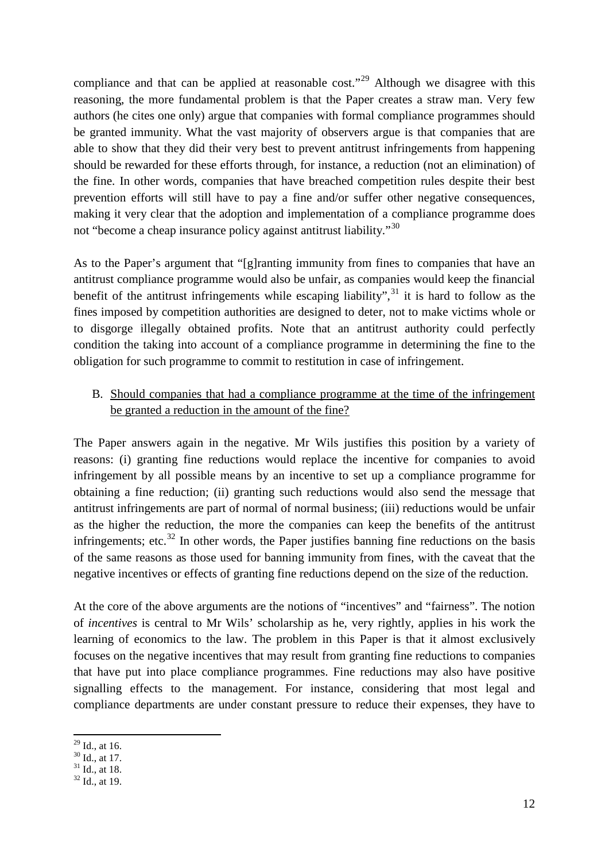compliance and that can be applied at reasonable cost."<sup>[29](#page-10-1)</sup> Although we disagree with this reasoning, the more fundamental problem is that the Paper creates a straw man. Very few authors (he cites one only) argue that companies with formal compliance programmes should be granted immunity. What the vast majority of observers argue is that companies that are able to show that they did their very best to prevent antitrust infringements from happening should be rewarded for these efforts through, for instance, a reduction (not an elimination) of the fine. In other words, companies that have breached competition rules despite their best prevention efforts will still have to pay a fine and/or suffer other negative consequences, making it very clear that the adoption and implementation of a compliance programme does not "become a cheap insurance policy against antitrust liability."<sup>[30](#page-11-0)</sup>

As to the Paper's argument that "[g]ranting immunity from fines to companies that have an antitrust compliance programme would also be unfair, as companies would keep the financial benefit of the antitrust infringements while escaping liability",  $31$  it is hard to follow as the fines imposed by competition authorities are designed to deter, not to make victims whole or to disgorge illegally obtained profits. Note that an antitrust authority could perfectly condition the taking into account of a compliance programme in determining the fine to the obligation for such programme to commit to restitution in case of infringement.

### B. Should companies that had a compliance programme at the time of the infringement be granted a reduction in the amount of the fine?

The Paper answers again in the negative. Mr Wils justifies this position by a variety of reasons: (i) granting fine reductions would replace the incentive for companies to avoid infringement by all possible means by an incentive to set up a compliance programme for obtaining a fine reduction; (ii) granting such reductions would also send the message that antitrust infringements are part of normal of normal business; (iii) reductions would be unfair as the higher the reduction, the more the companies can keep the benefits of the antitrust infringements; etc. $32$  In other words, the Paper justifies banning fine reductions on the basis of the same reasons as those used for banning immunity from fines, with the caveat that the negative incentives or effects of granting fine reductions depend on the size of the reduction.

At the core of the above arguments are the notions of "incentives" and "fairness". The notion of *incentives* is central to Mr Wils' scholarship as he, very rightly, applies in his work the learning of economics to the law. The problem in this Paper is that it almost exclusively focuses on the negative incentives that may result from granting fine reductions to companies that have put into place compliance programmes. Fine reductions may also have positive signalling effects to the management. For instance, considering that most legal and compliance departments are under constant pressure to reduce their expenses, they have to

<span id="page-11-0"></span>

<sup>&</sup>lt;sup>29</sup> Id., at 16.<br><sup>30</sup> Id., at 17.<br><sup>31</sup> Id., at 18.<br><sup>32</sup> Id., at 19.

<span id="page-11-2"></span><span id="page-11-1"></span>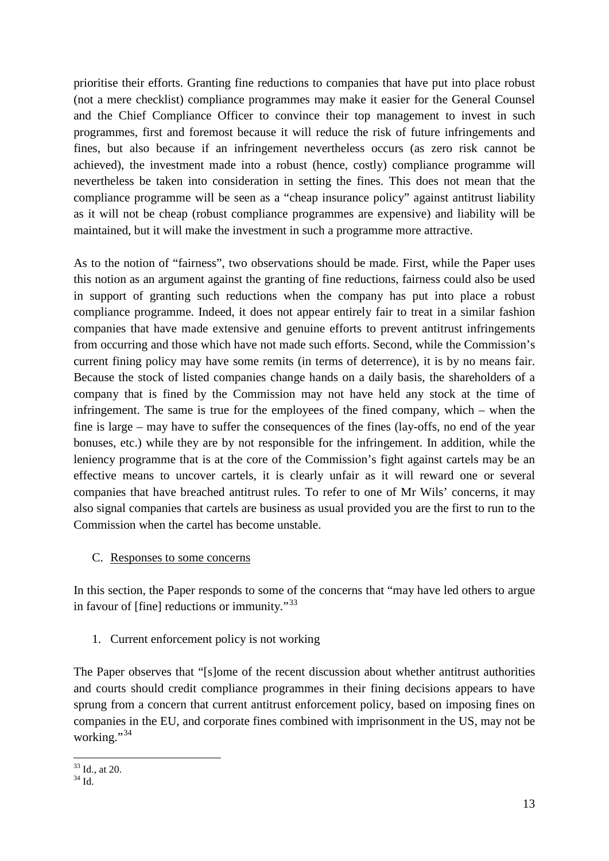prioritise their efforts. Granting fine reductions to companies that have put into place robust (not a mere checklist) compliance programmes may make it easier for the General Counsel and the Chief Compliance Officer to convince their top management to invest in such programmes, first and foremost because it will reduce the risk of future infringements and fines, but also because if an infringement nevertheless occurs (as zero risk cannot be achieved), the investment made into a robust (hence, costly) compliance programme will nevertheless be taken into consideration in setting the fines. This does not mean that the compliance programme will be seen as a "cheap insurance policy" against antitrust liability as it will not be cheap (robust compliance programmes are expensive) and liability will be maintained, but it will make the investment in such a programme more attractive.

As to the notion of "fairness", two observations should be made. First, while the Paper uses this notion as an argument against the granting of fine reductions, fairness could also be used in support of granting such reductions when the company has put into place a robust compliance programme. Indeed, it does not appear entirely fair to treat in a similar fashion companies that have made extensive and genuine efforts to prevent antitrust infringements from occurring and those which have not made such efforts. Second, while the Commission's current fining policy may have some remits (in terms of deterrence), it is by no means fair. Because the stock of listed companies change hands on a daily basis, the shareholders of a company that is fined by the Commission may not have held any stock at the time of infringement. The same is true for the employees of the fined company, which – when the fine is large – may have to suffer the consequences of the fines (lay-offs, no end of the year bonuses, etc.) while they are by not responsible for the infringement. In addition, while the leniency programme that is at the core of the Commission's fight against cartels may be an effective means to uncover cartels, it is clearly unfair as it will reward one or several companies that have breached antitrust rules. To refer to one of Mr Wils' concerns, it may also signal companies that cartels are business as usual provided you are the first to run to the Commission when the cartel has become unstable.

### C. Responses to some concerns

In this section, the Paper responds to some of the concerns that "may have led others to argue in favour of [fine] reductions or immunity."<sup>[33](#page-11-1)</sup>

1. Current enforcement policy is not working

The Paper observes that "[s]ome of the recent discussion about whether antitrust authorities and courts should credit compliance programmes in their fining decisions appears to have sprung from a concern that current antitrust enforcement policy, based on imposing fines on companies in the EU, and corporate fines combined with imprisonment in the US, may not be working."<sup>[34](#page-12-0)</sup>

<span id="page-12-1"></span><span id="page-12-0"></span> $^{33}_{34}$  Id., at 20.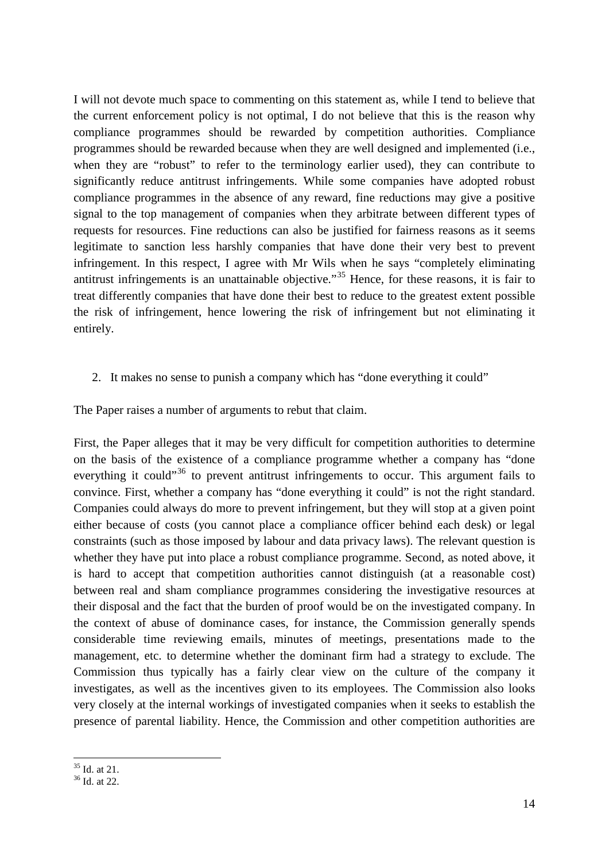I will not devote much space to commenting on this statement as, while I tend to believe that the current enforcement policy is not optimal, I do not believe that this is the reason why compliance programmes should be rewarded by competition authorities. Compliance programmes should be rewarded because when they are well designed and implemented (i.e., when they are "robust" to refer to the terminology earlier used), they can contribute to significantly reduce antitrust infringements. While some companies have adopted robust compliance programmes in the absence of any reward, fine reductions may give a positive signal to the top management of companies when they arbitrate between different types of requests for resources. Fine reductions can also be justified for fairness reasons as it seems legitimate to sanction less harshly companies that have done their very best to prevent infringement. In this respect, I agree with Mr Wils when he says "completely eliminating antitrust infringements is an unattainable objective."[35](#page-12-1) Hence, for these reasons, it is fair to treat differently companies that have done their best to reduce to the greatest extent possible the risk of infringement, hence lowering the risk of infringement but not eliminating it entirely.

### 2. It makes no sense to punish a company which has "done everything it could"

The Paper raises a number of arguments to rebut that claim.

First, the Paper alleges that it may be very difficult for competition authorities to determine on the basis of the existence of a compliance programme whether a company has "done everything it could"<sup>[36](#page-13-0)</sup> to prevent antitrust infringements to occur. This argument fails to convince. First, whether a company has "done everything it could" is not the right standard. Companies could always do more to prevent infringement, but they will stop at a given point either because of costs (you cannot place a compliance officer behind each desk) or legal constraints (such as those imposed by labour and data privacy laws). The relevant question is whether they have put into place a robust compliance programme. Second, as noted above, it is hard to accept that competition authorities cannot distinguish (at a reasonable cost) between real and sham compliance programmes considering the investigative resources at their disposal and the fact that the burden of proof would be on the investigated company. In the context of abuse of dominance cases, for instance, the Commission generally spends considerable time reviewing emails, minutes of meetings, presentations made to the management, etc. to determine whether the dominant firm had a strategy to exclude. The Commission thus typically has a fairly clear view on the culture of the company it investigates, as well as the incentives given to its employees. The Commission also looks very closely at the internal workings of investigated companies when it seeks to establish the presence of parental liability. Hence, the Commission and other competition authorities are

<span id="page-13-1"></span><span id="page-13-0"></span> $\frac{35}{36}$  Id. at 21.<br> $\frac{36}{36}$  Id. at 22.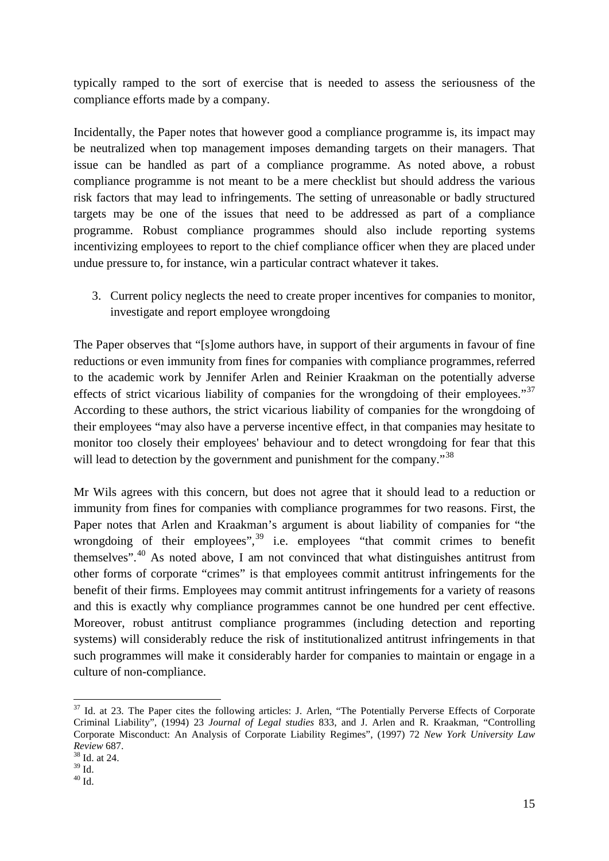typically ramped to the sort of exercise that is needed to assess the seriousness of the compliance efforts made by a company.

Incidentally, the Paper notes that however good a compliance programme is, its impact may be neutralized when top management imposes demanding targets on their managers. That issue can be handled as part of a compliance programme. As noted above, a robust compliance programme is not meant to be a mere checklist but should address the various risk factors that may lead to infringements. The setting of unreasonable or badly structured targets may be one of the issues that need to be addressed as part of a compliance programme. Robust compliance programmes should also include reporting systems incentivizing employees to report to the chief compliance officer when they are placed under undue pressure to, for instance, win a particular contract whatever it takes.

3. Current policy neglects the need to create proper incentives for companies to monitor, investigate and report employee wrongdoing

The Paper observes that "[s]ome authors have, in support of their arguments in favour of fine reductions or even immunity from fines for companies with compliance programmes, referred to the academic work by Jennifer Arlen and Reinier Kraakman on the potentially adverse effects of strict vicarious liability of companies for the wrongdoing of their employees."<sup>[37](#page-13-1)</sup> According to these authors, the strict vicarious liability of companies for the wrongdoing of their employees "may also have a perverse incentive effect, in that companies may hesitate to monitor too closely their employees' behaviour and to detect wrongdoing for fear that this will lead to detection by the government and punishment for the company."<sup>[38](#page-14-0)</sup>

Mr Wils agrees with this concern, but does not agree that it should lead to a reduction or immunity from fines for companies with compliance programmes for two reasons. First, the Paper notes that Arlen and Kraakman's argument is about liability of companies for "the wrongdoing of their employees", $39$  i.e. employees "that commit crimes to benefit themselves".[40](#page-14-2) As noted above, I am not convinced that what distinguishes antitrust from other forms of corporate "crimes" is that employees commit antitrust infringements for the benefit of their firms. Employees may commit antitrust infringements for a variety of reasons and this is exactly why compliance programmes cannot be one hundred per cent effective. Moreover, robust antitrust compliance programmes (including detection and reporting systems) will considerably reduce the risk of institutionalized antitrust infringements in that such programmes will make it considerably harder for companies to maintain or engage in a culture of non-compliance.

<sup>&</sup>lt;sup>37</sup> Id. at 23. The Paper cites the following articles: J. Arlen, "The Potentially Perverse Effects of Corporate Criminal Liability", (1994) 23 *Journal of Legal studies* 833, and J. Arlen and R. Kraakman, "Controlling Corporate Misconduct: An Analysis of Corporate Liability Regimes", (1997) 72 *New York University Law Review* 687.<br><sup>38</sup> Id. at 24.<br><sup>39</sup> Id.

<span id="page-14-0"></span>

<span id="page-14-2"></span><span id="page-14-1"></span> $^{40}$  Id.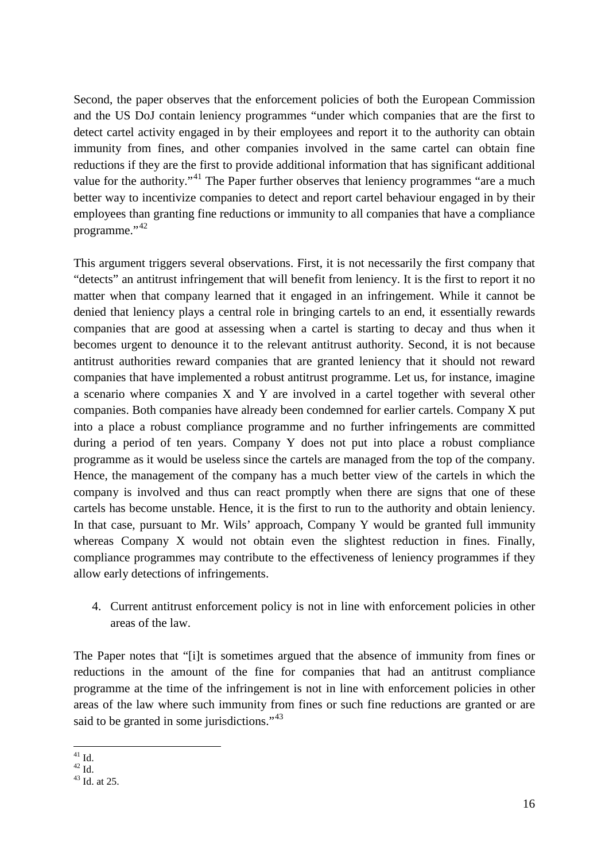Second, the paper observes that the enforcement policies of both the European Commission and the US DoJ contain leniency programmes "under which companies that are the first to detect cartel activity engaged in by their employees and report it to the authority can obtain immunity from fines, and other companies involved in the same cartel can obtain fine reductions if they are the first to provide additional information that has significant additional value for the authority."<sup>[41](#page-14-0)</sup> The Paper further observes that leniency programmes "are a much better way to incentivize companies to detect and report cartel behaviour engaged in by their employees than granting fine reductions or immunity to all companies that have a compliance programme."<sup>[42](#page-15-0)</sup>

This argument triggers several observations. First, it is not necessarily the first company that "detects" an antitrust infringement that will benefit from leniency. It is the first to report it no matter when that company learned that it engaged in an infringement. While it cannot be denied that leniency plays a central role in bringing cartels to an end, it essentially rewards companies that are good at assessing when a cartel is starting to decay and thus when it becomes urgent to denounce it to the relevant antitrust authority. Second, it is not because antitrust authorities reward companies that are granted leniency that it should not reward companies that have implemented a robust antitrust programme. Let us, for instance, imagine a scenario where companies X and Y are involved in a cartel together with several other companies. Both companies have already been condemned for earlier cartels. Company X put into a place a robust compliance programme and no further infringements are committed during a period of ten years. Company Y does not put into place a robust compliance programme as it would be useless since the cartels are managed from the top of the company. Hence, the management of the company has a much better view of the cartels in which the company is involved and thus can react promptly when there are signs that one of these cartels has become unstable. Hence, it is the first to run to the authority and obtain leniency. In that case, pursuant to Mr. Wils' approach, Company Y would be granted full immunity whereas Company X would not obtain even the slightest reduction in fines. Finally, compliance programmes may contribute to the effectiveness of leniency programmes if they allow early detections of infringements.

4. Current antitrust enforcement policy is not in line with enforcement policies in other areas of the law.

The Paper notes that "[i]t is sometimes argued that the absence of immunity from fines or reductions in the amount of the fine for companies that had an antitrust compliance programme at the time of the infringement is not in line with enforcement policies in other areas of the law where such immunity from fines or such fine reductions are granted or are said to be granted in some jurisdictions."<sup>[43](#page-15-1)</sup>

<span id="page-15-1"></span>

<span id="page-15-2"></span><span id="page-15-0"></span> $^{41}_{42}$  Id.<br> $^{42}_{43}$  Id. at 25.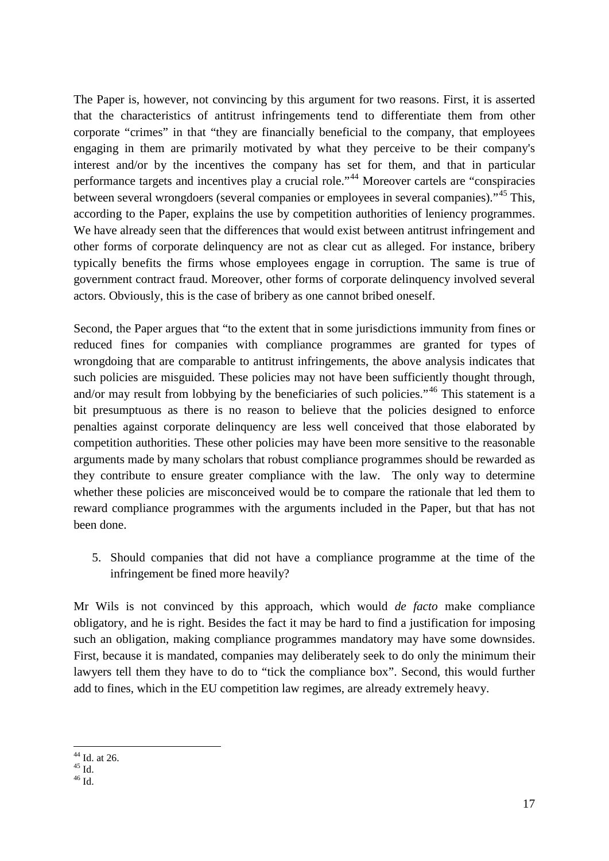The Paper is, however, not convincing by this argument for two reasons. First, it is asserted that the characteristics of antitrust infringements tend to differentiate them from other corporate "crimes" in that "they are financially beneficial to the company, that employees engaging in them are primarily motivated by what they perceive to be their company's interest and/or by the incentives the company has set for them, and that in particular performance targets and incentives play a crucial role."[44](#page-15-2) Moreover cartels are "conspiracies between several wrongdoers (several companies or employees in several companies)."[45](#page-16-0) This, according to the Paper, explains the use by competition authorities of leniency programmes. We have already seen that the differences that would exist between antitrust infringement and other forms of corporate delinquency are not as clear cut as alleged. For instance, bribery typically benefits the firms whose employees engage in corruption. The same is true of government contract fraud. Moreover, other forms of corporate delinquency involved several actors. Obviously, this is the case of bribery as one cannot bribed oneself.

Second, the Paper argues that "to the extent that in some jurisdictions immunity from fines or reduced fines for companies with compliance programmes are granted for types of wrongdoing that are comparable to antitrust infringements, the above analysis indicates that such policies are misguided. These policies may not have been sufficiently thought through, and/or may result from lobbying by the beneficiaries of such policies."<sup>[46](#page-16-1)</sup> This statement is a bit presumptuous as there is no reason to believe that the policies designed to enforce penalties against corporate delinquency are less well conceived that those elaborated by competition authorities. These other policies may have been more sensitive to the reasonable arguments made by many scholars that robust compliance programmes should be rewarded as they contribute to ensure greater compliance with the law. The only way to determine whether these policies are misconceived would be to compare the rationale that led them to reward compliance programmes with the arguments included in the Paper, but that has not been done.

5. Should companies that did not have a compliance programme at the time of the infringement be fined more heavily?

<span id="page-16-2"></span>Mr Wils is not convinced by this approach, which would *de facto* make compliance obligatory, and he is right. Besides the fact it may be hard to find a justification for imposing such an obligation, making compliance programmes mandatory may have some downsides. First, because it is mandated, companies may deliberately seek to do only the minimum their lawyers tell them they have to do to "tick the compliance box". Second, this would further add to fines, which in the EU competition law regimes, are already extremely heavy.

<span id="page-16-0"></span> $^{44}_{45}$  Id. at 26.<br> $^{45}_{46}$  Id.<br> $^{46}_{46}$  Id.

<span id="page-16-1"></span>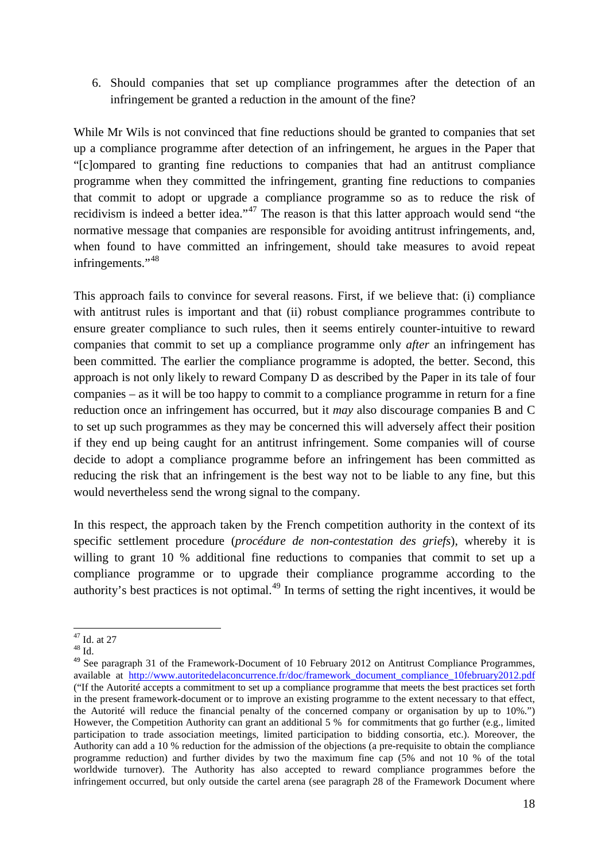6. Should companies that set up compliance programmes after the detection of an infringement be granted a reduction in the amount of the fine?

While Mr Wils is not convinced that fine reductions should be granted to companies that set up a compliance programme after detection of an infringement, he argues in the Paper that "[c]ompared to granting fine reductions to companies that had an antitrust compliance programme when they committed the infringement, granting fine reductions to companies that commit to adopt or upgrade a compliance programme so as to reduce the risk of recidivism is indeed a better idea."<sup>[47](#page-16-2)</sup> The reason is that this latter approach would send "the normative message that companies are responsible for avoiding antitrust infringements, and, when found to have committed an infringement, should take measures to avoid repeat infringements."[48](#page-17-0)

This approach fails to convince for several reasons. First, if we believe that: (i) compliance with antitrust rules is important and that (ii) robust compliance programmes contribute to ensure greater compliance to such rules, then it seems entirely counter-intuitive to reward companies that commit to set up a compliance programme only *after* an infringement has been committed. The earlier the compliance programme is adopted, the better. Second, this approach is not only likely to reward Company D as described by the Paper in its tale of four companies – as it will be too happy to commit to a compliance programme in return for a fine reduction once an infringement has occurred, but it *may* also discourage companies B and C to set up such programmes as they may be concerned this will adversely affect their position if they end up being caught for an antitrust infringement. Some companies will of course decide to adopt a compliance programme before an infringement has been committed as reducing the risk that an infringement is the best way not to be liable to any fine, but this would nevertheless send the wrong signal to the company.

In this respect, the approach taken by the French competition authority in the context of its specific settlement procedure (*procédure de non-contestation des griefs*), whereby it is willing to grant 10 % additional fine reductions to companies that commit to set up a compliance programme or to upgrade their compliance programme according to the authority's best practices is not optimal.<sup>[49](#page-17-1)</sup> In terms of setting the right incentives, it would be

<span id="page-17-2"></span><span id="page-17-1"></span><span id="page-17-0"></span>

<sup>&</sup>lt;sup>47</sup> Id. at 27<br><sup>48</sup> Id.<br><sup>49</sup> See paragraph 31 of the Framework-Document of 10 February 2012 on Antitrust Compliance Programmes, available at [http://www.autoritedelaconcurrence.fr/doc/framework\\_document\\_compliance\\_10february2012.pdf](http://www.autoritedelaconcurrence.fr/doc/framework_document_compliance_10february2012.pdf) ("If the Autorité accepts a commitment to set up a compliance programme that meets the best practices set forth in the present framework-document or to improve an existing programme to the extent necessary to that effect, the Autorité will reduce the financial penalty of the concerned company or organisation by up to 10%.") However, the Competition Authority can grant an additional 5 % for commitments that go further (e.g., limited participation to trade association meetings, limited participation to bidding consortia, etc.). Moreover, the Authority can add a 10 % reduction for the admission of the objections (a pre-requisite to obtain the compliance programme reduction) and further divides by two the maximum fine cap (5% and not 10 % of the total worldwide turnover). The Authority has also accepted to reward compliance programmes before the infringement occurred, but only outside the cartel arena (see paragraph 28 of the Framework Document where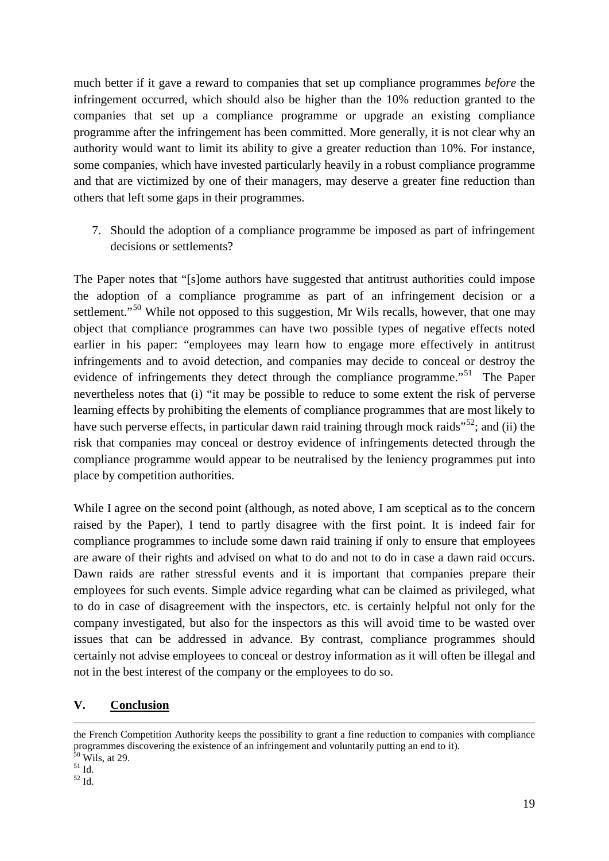much better if it gave a reward to companies that set up compliance programmes *before* the infringement occurred, which should also be higher than the 10% reduction granted to the companies that set up a compliance programme or upgrade an existing compliance programme after the infringement has been committed. More generally, it is not clear why an authority would want to limit its ability to give a greater reduction than 10%. For instance, some companies, which have invested particularly heavily in a robust compliance programme and that are victimized by one of their managers, may deserve a greater fine reduction than others that left some gaps in their programmes.

7. Should the adoption of a compliance programme be imposed as part of infringement decisions or settlements?

The Paper notes that "[s]ome authors have suggested that antitrust authorities could impose the adoption of a compliance programme as part of an infringement decision or a settlement."<sup>[50](#page-17-2)</sup> While not opposed to this suggestion, Mr Wils recalls, however, that one may object that compliance programmes can have two possible types of negative effects noted earlier in his paper: "employees may learn how to engage more effectively in antitrust infringements and to avoid detection, and companies may decide to conceal or destroy the evidence of infringements they detect through the compliance programme.<sup>"51</sup> The Paper nevertheless notes that (i) "it may be possible to reduce to some extent the risk of perverse learning effects by prohibiting the elements of compliance programmes that are most likely to have such perverse effects, in particular dawn raid training through mock raids<sup>"[52](#page-18-1)</sup>; and (ii) the risk that companies may conceal or destroy evidence of infringements detected through the compliance programme would appear to be neutralised by the leniency programmes put into place by competition authorities.

While I agree on the second point (although, as noted above, I am sceptical as to the concern raised by the Paper), I tend to partly disagree with the first point. It is indeed fair for compliance programmes to include some dawn raid training if only to ensure that employees are aware of their rights and advised on what to do and not to do in case a dawn raid occurs. Dawn raids are rather stressful events and it is important that companies prepare their employees for such events. Simple advice regarding what can be claimed as privileged, what to do in case of disagreement with the inspectors, etc. is certainly helpful not only for the company investigated, but also for the inspectors as this will avoid time to be wasted over issues that can be addressed in advance. By contrast, compliance programmes should certainly not advise employees to conceal or destroy information as it will often be illegal and not in the best interest of the company or the employees to do so.

# **V. Conclusion**

 $\overline{\phantom{a}}$ 

the French Competition Authority keeps the possibility to grant a fine reduction to companies with compliance programmes discovering the existence of an infringement and voluntarily putting an end to it).

 $\frac{50}{51}$  Wils, at 29.<br>  $\frac{51}{52}$  Id.<br>  $\frac{52}{52}$  Id.

<span id="page-18-1"></span><span id="page-18-0"></span>